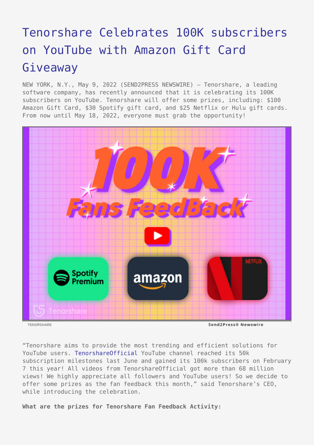## [Tenorshare Celebrates 100K subscribers](https://www.send2press.com/wire/tenorshare-celebrates-100k-subscribers-on-youtube-with-amazon-gift-card-giveaway/) [on YouTube with Amazon Gift Card](https://www.send2press.com/wire/tenorshare-celebrates-100k-subscribers-on-youtube-with-amazon-gift-card-giveaway/) [Giveaway](https://www.send2press.com/wire/tenorshare-celebrates-100k-subscribers-on-youtube-with-amazon-gift-card-giveaway/)

NEW YORK, N.Y., May 9, 2022 (SEND2PRESS NEWSWIRE) — Tenorshare, a leading software company, has recently announced that it is celebrating its 100K subscribers on YouTube. Tenorshare will offer some prizes, including: \$100 Amazon Gift Card, \$30 Spotify gift card, and \$25 Netflix or Hulu gift cards. From now until May 18, 2022, everyone must grab the opportunity!



Send2Press® Newswire

"Tenorshare aims to provide the most trending and efficient solutions for YouTube users. [TenorshareOfficial](https://www.youtube.com/user/TenorshareOfficial) YouTube channel reached its 50k subscription milestones last June and gained its 100k subscribers on February 7 this year! All videos from TenorshareOfficial got more than 68 million views! We highly appreciate all followers and YouTube users! So we decide to offer some prizes as the fan feedback this month," said Tenorshare's CEO, while introducing the celebration.

**What are the prizes for Tenorshare Fan Feedback Activity:**